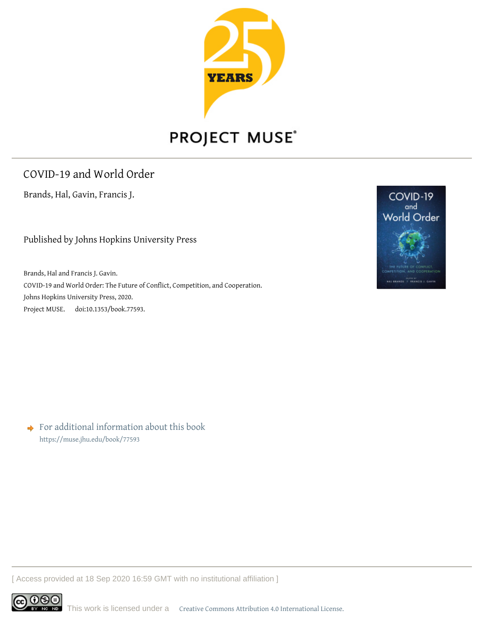

# PROJECT MUSE®

## COVID-19 and World Order

Brands, Hal, Gavin, Francis J.

Published by Johns Hopkins University Press

Brands, Hal and Francis J. Gavin. COVID-19 and World Order: The Future of Conflict, Competition, and Cooperation. Johns Hopkins University Press, 2020. Project MUSE. doi:10.1353/book.77593.



◆ For additional information about this book <https://muse.jhu.edu/book/77593>

[ Access provided at 18 Sep 2020 16:59 GMT with no institutional affiliation ]

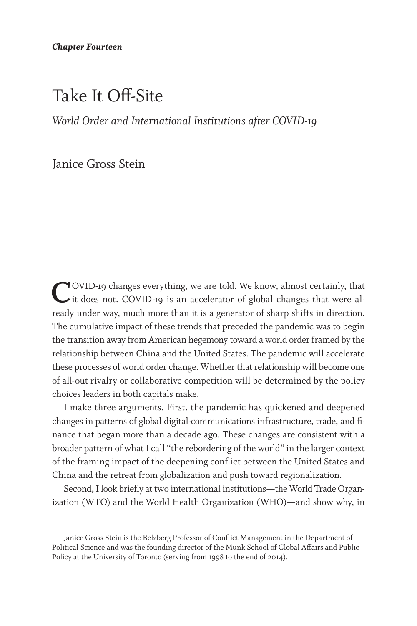## Take It Off-Site

*[World Order and International Institutions after COVID-19](#page--1-0)*

Janice Gross Stein

**C**OVID-19 changes everything, we are told. We know, almost certainly, that it does not. COVID-19 is an accelerator of global changes that were already under way, much more than it is a generator of sharp shifts in direction. The cumulative impact of these trends that preceded the pandemic was to begin the transition away from American hegemony toward a world order framed by the relationship between China and the United States. The pandemic will accelerate these processes of world order change. Whether that relationship will become one of all-out rivalry or collaborative competition will be determined by the policy choices leaders in both capitals make.

I make three arguments. First, the pandemic has quickened and deepened changes in patterns of global digital-communications infrastructure, trade, and finance that began more than a decade ago. These changes are consistent with a broader pattern of what I call "the rebordering of the world" in the larger context of the framing impact of the deepening conflict between the United States and China and the retreat from globalization and push toward regionalization.

Second, I look briefly at two international institutions—the World Trade Organization (WTO) and the World Health Organization (WHO)—and show why, in

Janice Gross Stein is the Belzberg Professor of Conflict Management in the Department of Political Science and was the founding director of the Munk School of Global Affairs and Public Policy at the University of Toronto (serving from 1998 to the end of 2014).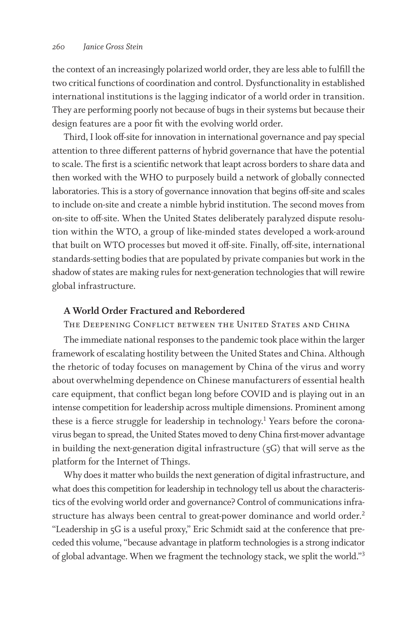the context of an increasingly polarized world order, they are less able to fulfill the two critical functions of coordination and control. Dysfunctionality in established international institutions is the lagging indicator of a world order in transition. They are performing poorly not because of bugs in their systems but because their design features are a poor fit with the evolving world order.

Third, I look off-site for innovation in international governance and pay special attention to three different patterns of hybrid governance that have the potential to scale. The first is a scientific network that leapt across borders to share data and then worked with the WHO to purposely build a network of globally connected laboratories. This is a story of governance innovation that begins off-site and scales to include on-site and create a nimble hybrid institution. The second moves from on-site to off-site. When the United States deliberately paralyzed dispute resolution within the WTO, a group of like-minded states developed a work-around that built on WTO processes but moved it off-site. Finally, off-site, international standards-setting bodies that are populated by private companies but work in the shadow of states are making rules for next-generation technologies that will rewire global infrastructure.

## **A World Order Fractured and Rebordered**

The Deepening Conflict between the United States and China

The immediate national responses to the pandemic took place within the larger framework of escalating hostility between the United States and China. Although the rhetoric of today focuses on management by China of the virus and worry about overwhelming dependence on Chinese manufacturers of essential health care equipment, that conflict began long before COVID and is playing out in an intense competition for leadership across multiple dimensions. Prominent among these is a fierce struggle for leadership in technology.<sup>1</sup> Years before the coronavirus began to spread, the United States moved to deny China first-mover advantage in building the next-generation digital infrastructure  $(5G)$  that will serve as the platform for the Internet of Things.

Why does it matter who builds the next generation of digital infrastructure, and what does this competition for leadership in technology tell us about the characteristics of the evolving world order and governance? Control of communications infrastructure has always been central to great-power dominance and world order.<sup>2</sup> "Leadership in 5G is a useful proxy," Eric Schmidt said at the conference that preceded this volume, "because advantage in platform technologies is a strong indicator of global advantage. When we fragment the technology stack, we split the world."3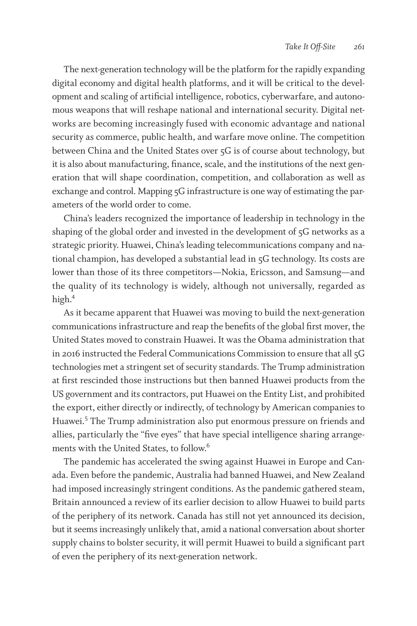The next-generation technology will be the platform for the rapidly expanding digital economy and digital health platforms, and it will be critical to the development and scaling of artificial intelligence, robotics, cyberwarfare, and autonomous weapons that will reshape national and international security. Digital networks are becoming increasingly fused with economic advantage and national security as commerce, public health, and warfare move online. The competition between China and the United States over 5G is of course about technology, but it is also about manufacturing, finance, scale, and the institutions of the next generation that will shape coordination, competition, and collaboration as well as exchange and control. Mapping 5G infrastructure is one way of estimating the parameters of the world order to come.

China's leaders recognized the importance of leadership in technology in the shaping of the global order and invested in the development of 5G networks as a strategic priority. Huawei, China's leading telecommunications company and national champion, has developed a substantial lead in 5G technology. Its costs are lower than those of its three competitors—Nokia, Ericsson, and Samsung—and the quality of its technology is widely, although not universally, regarded as high.<sup>4</sup>

As it became apparent that Huawei was moving to build the next-generation communications infrastructure and reap the benefits of the global first mover, the United States moved to constrain Huawei. It was the Obama administration that in 2016 instructed the Federal Communications Commission to ensure that all 5G technologies met a stringent set of security standards. The Trump administration at first rescinded those instructions but then banned Huawei products from the US government and its contractors, put Huawei on the Entity List, and prohibited the export, either directly or indirectly, of technology by American companies to Huawei.<sup>5</sup> The Trump administration also put enormous pressure on friends and allies, particularly the "five eyes" that have special intelligence sharing arrangements with the United States, to follow.6

The pandemic has accelerated the swing against Huawei in Europe and Canada. Even before the pandemic, Australia had banned Huawei, and New Zealand had imposed increasingly stringent conditions. As the pandemic gathered steam, Britain announced a review of its earlier decision to allow Huawei to build parts of the periphery of its network. Canada has still not yet announced its decision, but it seems increasingly unlikely that, amid a national conversation about shorter supply chains to bolster security, it will permit Huawei to build a significant part of even the periphery of its next-generation network.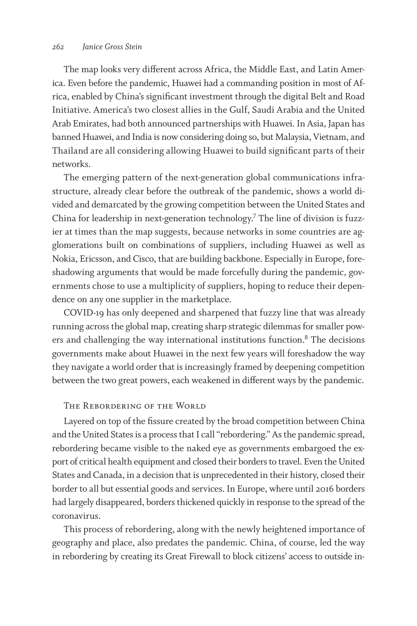The map looks very different across Africa, the Middle East, and Latin America. Even before the pandemic, Huawei had a commanding position in most of Africa, enabled by China's significant investment through the digital Belt and Road Initiative. America's two closest allies in the Gulf, Saudi Arabia and the United Arab Emirates, had both announced partnerships with Huawei. In Asia, Japan has banned Huawei, and India is now considering doing so, but Malaysia, Vietnam, and Thailand are all considering allowing Huawei to build significant parts of their networks.

The emerging pattern of the next-generation global communications infrastructure, already clear before the outbreak of the pandemic, shows a world divided and demarcated by the growing competition between the United States and China for leadership in next-generation technology.<sup>7</sup> The line of division is fuzzier at times than the map suggests, because networks in some countries are agglomerations built on combinations of suppliers, including Huawei as well as Nokia, Ericsson, and Cisco, that are building backbone. Especially in Europe, foreshadowing arguments that would be made forcefully during the pandemic, governments chose to use a multiplicity of suppliers, hoping to reduce their dependence on any one supplier in the marketplace.

COVID-19 has only deepened and sharpened that fuzzy line that was already running across the global map, creating sharp strategic dilemmas for smaller powers and challenging the way international institutions function. $8$  The decisions governments make about Huawei in the next few years will foreshadow the way they navigate a world order that is increasingly framed by deepening competition between the two great powers, each weakened in different ways by the pandemic.

### The Rebordering of the World

Layered on top of the fissure created by the broad competition between China and the United States is a process that I call "rebordering." As the pandemic spread, rebordering became visible to the naked eye as governments embargoed the export of critical health equipment and closed their borders to travel. Even the United States and Canada, in a decision that is unprecedented in their history, closed their border to all but essential goods and services. In Europe, where until 2016 borders had largely disappeared, borders thickened quickly in response to the spread of the coronavirus.

This process of rebordering, along with the newly heightened importance of geography and place, also predates the pandemic. China, of course, led the way in rebordering by creating its Great Firewall to block citizens' access to outside in-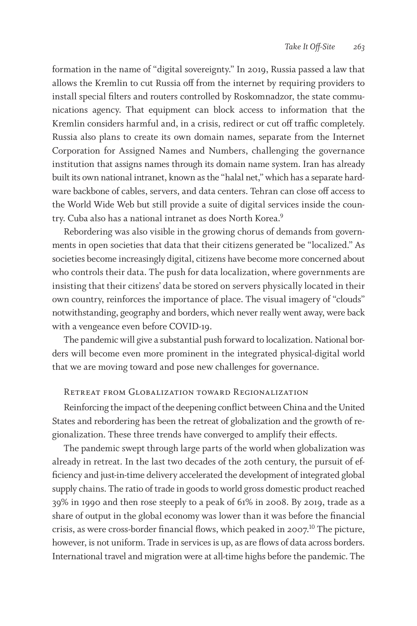formation in the name of "digital sovereignty." In 2019, Russia passed a law that allows the Kremlin to cut Russia off from the internet by requiring providers to install special filters and routers controlled by Roskomnadzor, the state communications agency. That equipment can block access to information that the Kremlin considers harmful and, in a crisis, redirect or cut off traffic completely. Russia also plans to create its own domain names, separate from the Internet Corporation for Assigned Names and Numbers, challenging the governance institution that assigns names through its domain name system. Iran has already built its own national intranet, known as the "halal net," which has a separate hardware backbone of cables, servers, and data centers. Tehran can close off access to the World Wide Web but still provide a suite of digital services inside the country. Cuba also has a national intranet as does North Korea.<sup>9</sup>

Rebordering was also visible in the growing chorus of demands from governments in open societies that data that their citizens generated be "localized." As societies become increasingly digital, citizens have become more concerned about who controls their data. The push for data localization, where governments are insisting that their citizens' data be stored on servers physically located in their own country, reinforces the importance of place. The visual imagery of "clouds" notwithstanding, geography and borders, which never really went away, were back with a vengeance even before COVID-19.

The pandemic will give a substantial push forward to localization. National borders will become even more prominent in the integrated physical-digital world that we are moving toward and pose new challenges for governance.

## Retreat from Globalization toward Regionalization

Reinforcing the impact of the deepening conflict between China and the United States and rebordering has been the retreat of globalization and the growth of regionalization. These three trends have converged to amplify their effects.

The pandemic swept through large parts of the world when globalization was already in retreat. In the last two decades of the 20th century, the pursuit of efficiency and just-in-time delivery accelerated the development of integrated global supply chains. The ratio of trade in goods to world gross domestic product reached 39% in 1990 and then rose steeply to a peak of 61% in 2008. By 2019, trade as a share of output in the global economy was lower than it was before the financial crisis, as were cross-border financial flows, which peaked in 2007.<sup>10</sup> The picture, however, is not uniform. Trade in services is up, as are flows of data across borders. International travel and migration were at all-time highs before the pandemic. The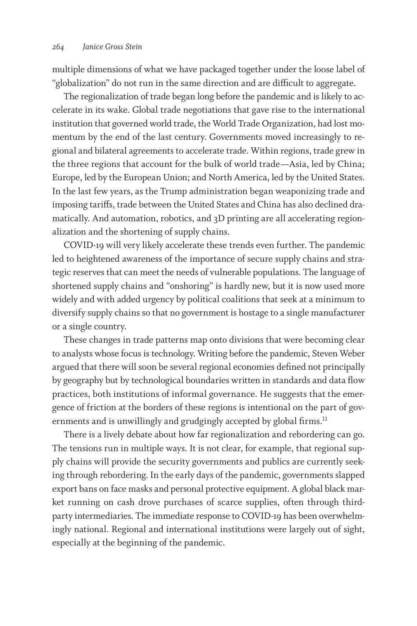multiple dimensions of what we have packaged together under the loose label of "globalization" do not run in the same direction and are difficult to aggregate.

The regionalization of trade began long before the pandemic and is likely to accelerate in its wake. Global trade negotiations that gave rise to the international institution that governed world trade, the World Trade Organization, had lost momentum by the end of the last century. Governments moved increasingly to regional and bilateral agreements to accelerate trade. Within regions, trade grew in the three regions that account for the bulk of world trade—Asia, led by China; Europe, led by the European Union; and North America, led by the United States. In the last few years, as the Trump administration began weaponizing trade and imposing tariffs, trade between the United States and China has also declined dramatically. And automation, robotics, and 3D printing are all accelerating regionalization and the shortening of supply chains.

COVID-19 will very likely accelerate these trends even further. The pandemic led to heightened awareness of the importance of secure supply chains and strategic reserves that can meet the needs of vulnerable populations. The language of shortened supply chains and "onshoring" is hardly new, but it is now used more widely and with added urgency by political coalitions that seek at a minimum to diversify supply chains so that no government is hostage to a single manufacturer or a single country.

These changes in trade patterns map onto divisions that were becoming clear to analysts whose focus is technology. Writing before the pandemic, Steven Weber argued that there will soon be several regional economies defined not principally by geography but by technological boundaries written in standards and data flow practices, both institutions of informal governance. He suggests that the emergence of friction at the borders of these regions is intentional on the part of governments and is unwillingly and grudgingly accepted by global firms.<sup>11</sup>

There is a lively debate about how far regionalization and rebordering can go. The tensions run in multiple ways. It is not clear, for example, that regional supply chains will provide the security governments and publics are currently seeking through rebordering. In the early days of the pandemic, governments slapped export bans on face masks and personal protective equipment. A global black market running on cash drove purchases of scarce supplies, often through thirdparty intermediaries. The immediate response to COVID-19 has been overwhelmingly national. Regional and international institutions were largely out of sight, especially at the beginning of the pandemic.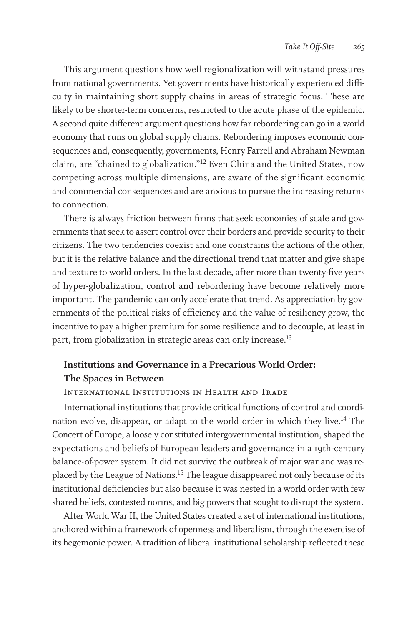This argument questions how well regionalization will withstand pressures from national governments. Yet governments have historically experienced difficulty in maintaining short supply chains in areas of strategic focus. These are likely to be shorter-term concerns, restricted to the acute phase of the epidemic. A second quite different argument questions how far rebordering can go in a world economy that runs on global supply chains. Rebordering imposes economic consequences and, consequently, governments, Henry Farrell and Abraham Newman claim, are "chained to globalization."12 Even China and the United States, now competing across multiple dimensions, are aware of the significant economic and commercial consequences and are anxious to pursue the increasing returns to connection.

There is always friction between firms that seek economies of scale and governments that seek to assert control over their borders and provide security to their citizens. The two tendencies coexist and one constrains the actions of the other, but it is the relative balance and the directional trend that matter and give shape and texture to world orders. In the last decade, after more than twenty-five years of hyper-globalization, control and rebordering have become relatively more important. The pandemic can only accelerate that trend. As appreciation by governments of the political risks of efficiency and the value of resiliency grow, the incentive to pay a higher premium for some resilience and to decouple, at least in part, from globalization in strategic areas can only increase.<sup>13</sup>

## **Institutions and Governance in a Precarious World Order: The Spaces in Between**

International Institutions in Health and Trade

International institutions that provide critical functions of control and coordination evolve, disappear, or adapt to the world order in which they live.<sup>14</sup> The Concert of Europe, a loosely constituted intergovernmental institution, shaped the expectations and beliefs of European leaders and governance in a 19th-century balance-of-power system. It did not survive the outbreak of major war and was replaced by the League of Nations.15 The league disappeared not only because of its institutional deficiencies but also because it was nested in a world order with few shared beliefs, contested norms, and big powers that sought to disrupt the system.

After World War II, the United States created a set of international institutions, anchored within a framework of openness and liberalism, through the exercise of its hegemonic power. A tradition of liberal institutional scholarship reflected these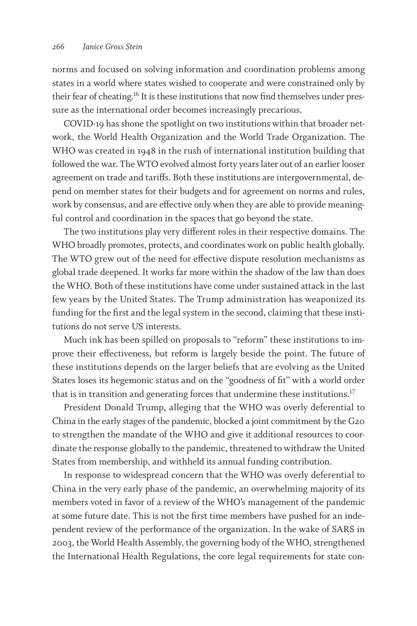norms and focused on solving information and coordination problems among states in a world where states wished to cooperate and were constrained only by their fear of cheating.<sup>16</sup> It is these institutions that now find themselves under pressure as the international order becomes increasingly precarious.

COVID-19 has shone the spotlight on two institutions within that broader network, the World Health Organization and the World Trade Organization. The WHO was created in 1948 in the rush of international institution building that followed the war. The WTO evolved almost forty years later out of an earlier looser agreement on trade and tariffs. Both these institutions are intergovernmental, depend on member states for their budgets and for agreement on norms and rules, work by consensus, and are effective only when they are able to provide meaningful control and coordination in the spaces that go beyond the state.

The two institutions play very different roles in their respective domains. The WHO broadly promotes, protects, and coordinates work on public health globally. The WTO grew out of the need for effective dispute resolution mechanisms as global trade deepened. It works far more within the shadow of the law than does the WHO. Both of these institutions have come under sustained attack in the last few years by the United States. The Trump administration has weaponized its funding for the first and the legal system in the second, claiming that these institutions do not serve US interests.

Much ink has been spilled on proposals to "reform" these institutions to improve their effectiveness, but reform is largely beside the point. The future of these institutions depends on the larger beliefs that are evolving as the United States loses its hegemonic status and on the "goodness of fit" with a world order that is in transition and generating forces that undermine these institutions.<sup>17</sup>

President Donald Trump, alleging that the WHO was overly deferential to China in the early stages of the pandemic, blocked a joint commitment by the G20 to strengthen the mandate of the WHO and give it additional resources to coordinate the response globally to the pandemic, threatened to withdraw the United States from membership, and withheld its annual funding contribution.

In response to widespread concern that the WHO was overly deferential to China in the very early phase of the pandemic, an overwhelming majority of its members voted in favor of a review of the WHO's management of the pandemic at some future date. This is not the first time members have pushed for an independent review of the performance of the organization. In the wake of SARS in 2003, the World Health Assembly, the governing body of the WHO, strengthened the International Health Regulations, the core legal requirements for state con-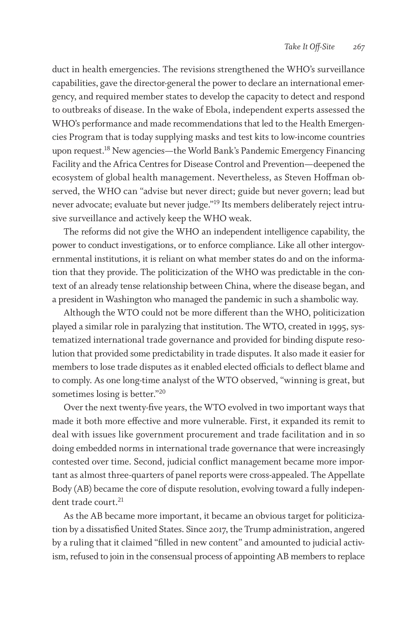duct in health emergencies. The revisions strengthened the WHO's surveillance capabilities, gave the director-general the power to declare an international emergency, and required member states to develop the capacity to detect and respond to outbreaks of disease. In the wake of Ebola, independent experts assessed the WHO's performance and made recommendations that led to the Health Emergencies Program that is today supplying masks and test kits to low-income countries upon request.18 New agencies—the World Bank's Pandemic Emergency Financing Facility and the Africa Centres for Disease Control and Prevention—deepened the ecosystem of global health management. Nevertheless, as Steven Hoffman observed, the WHO can "advise but never direct; guide but never govern; lead but never advocate; evaluate but never judge."19 Its members deliberately reject intrusive surveillance and actively keep the WHO weak.

The reforms did not give the WHO an independent intelligence capability, the power to conduct investigations, or to enforce compliance. Like all other intergovernmental institutions, it is reliant on what member states do and on the information that they provide. The politicization of the WHO was predictable in the context of an already tense relationship between China, where the disease began, and a president in Washington who managed the pandemic in such a shambolic way.

Although the WTO could not be more different than the WHO, politicization played a similar role in paralyzing that institution. The WTO, created in 1995, systematized international trade governance and provided for binding dispute resolution that provided some predictability in trade disputes. It also made it easier for members to lose trade disputes as it enabled elected officials to deflect blame and to comply. As one long-time analyst of the WTO observed, "winning is great, but sometimes losing is better."20

Over the next twenty-five years, the WTO evolved in two important ways that made it both more effective and more vulnerable. First, it expanded its remit to deal with issues like government procurement and trade facilitation and in so doing embedded norms in international trade governance that were increasingly contested over time. Second, judicial conflict management became more important as almost three-quarters of panel reports were cross-appealed. The Appellate Body (AB) became the core of dispute resolution, evolving toward a fully independent trade court<sup>21</sup>

As the AB became more important, it became an obvious target for politicization by a dissatisfied United States. Since 2017, the Trump administration, angered by a ruling that it claimed "filled in new content" and amounted to judicial activism, refused to join in the consensual process of appointing AB members to replace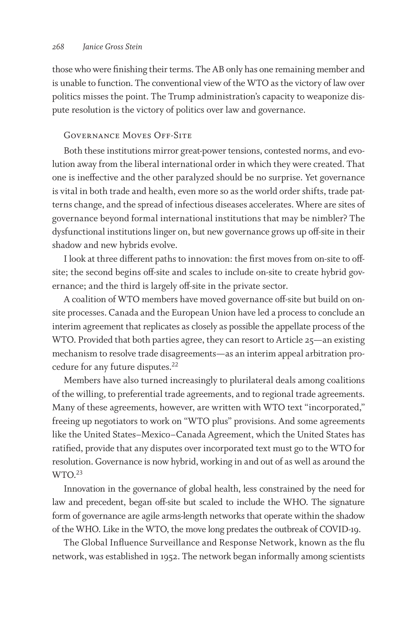those who were finishing their terms. The AB only has one remaining member and is unable to function. The conventional view of the WTO as the victory of law over politics misses the point. The Trump administration's capacity to weaponize dispute resolution is the victory of politics over law and governance.

## Governance Moves Off-Site

Both these institutions mirror great-power tensions, contested norms, and evolution away from the liberal international order in which they were created. That one is ineffective and the other paralyzed should be no surprise. Yet governance is vital in both trade and health, even more so as the world order shifts, trade patterns change, and the spread of infectious diseases accelerates. Where are sites of governance beyond formal international institutions that may be nimbler? The dysfunctional institutions linger on, but new governance grows up off-site in their shadow and new hybrids evolve.

I look at three different paths to innovation: the first moves from on-site to offsite; the second begins off-site and scales to include on-site to create hybrid governance; and the third is largely off-site in the private sector.

A coalition of WTO members have moved governance off-site but build on onsite processes. Canada and the European Union have led a process to conclude an interim agreement that replicates as closely as possible the appellate process of the WTO. Provided that both parties agree, they can resort to Article 25—an existing mechanism to resolve trade disagreements—as an interim appeal arbitration procedure for any future disputes.<sup>22</sup>

Members have also turned increasingly to plurilateral deals among coalitions of the willing, to preferential trade agreements, and to regional trade agreements. Many of these agreements, however, are written with WTO text "incorporated," freeing up negotiators to work on "WTO plus" provisions. And some agreements like the United States–Mexico–Canada Agreement, which the United States has ratified, provide that any disputes over incorporated text must go to the WTO for resolution. Governance is now hybrid, working in and out of as well as around the  $WTO.<sup>23</sup>$ 

Innovation in the governance of global health, less constrained by the need for law and precedent, began off-site but scaled to include the WHO. The signature form of governance are agile arms-length networks that operate within the shadow of the WHO. Like in the WTO, the move long predates the outbreak of COVID-19.

The Global Influence Surveillance and Response Network, known as the flu network, was established in 1952. The network began informally among scientists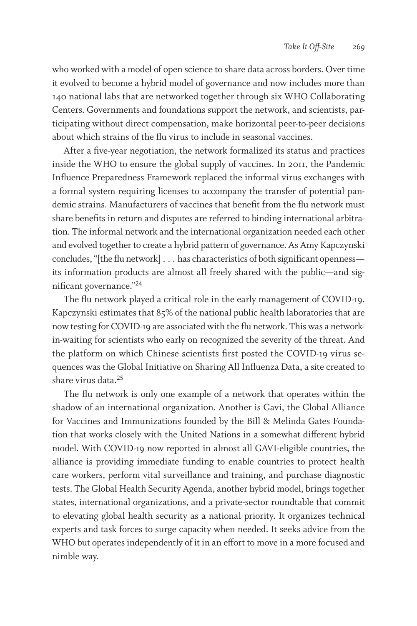who worked with a model of open science to share data across borders. Over time it evolved to become a hybrid model of governance and now includes more than 140 national labs that are networked together through six WHO Collaborating Centers. Governments and foundations support the network, and scientists, participating without direct compensation, make horizontal peer-to-peer decisions about which strains of the flu virus to include in seasonal vaccines.

After a five-year negotiation, the network formalized its status and practices inside the WHO to ensure the global supply of vaccines. In 2011, the Pandemic Influence Preparedness Framework replaced the informal virus exchanges with a formal system requiring licenses to accompany the transfer of potential pandemic strains. Manufacturers of vaccines that benefit from the flu network must share benefits in return and disputes are referred to binding international arbitration. The informal network and the international organization needed each other and evolved together to create a hybrid pattern of governance. As Amy Kapczynski concludes, "[the flu network] . . . has characteristics of both significant openness its information products are almost all freely shared with the public—and significant governance."24

The flu network played a critical role in the early management of COVID-19. Kapczynski estimates that 85% of the national public health laboratories that are now testing for COVID-19 are associated with the flu network. This was a networkin-waiting for scientists who early on recognized the severity of the threat. And the platform on which Chinese scientists first posted the COVID-19 virus sequences was the Global Initiative on Sharing All Influenza Data, a site created to share virus data<sup>25</sup>

The flu network is only one example of a network that operates within the shadow of an international organization. Another is Gavi, the Global Alliance for Vaccines and Immunizations founded by the Bill & Melinda Gates Foundation that works closely with the United Nations in a somewhat different hybrid model. With COVID-19 now reported in almost all GAVI-eligible countries, the alliance is providing immediate funding to enable countries to protect health care workers, perform vital surveillance and training, and purchase diagnostic tests. The Global Health Security Agenda, another hybrid model, brings together states, international organizations, and a private-sector roundtable that commit to elevating global health security as a national priority. It organizes technical experts and task forces to surge capacity when needed. It seeks advice from the WHO but operates independently of it in an effort to move in a more focused and nimble way.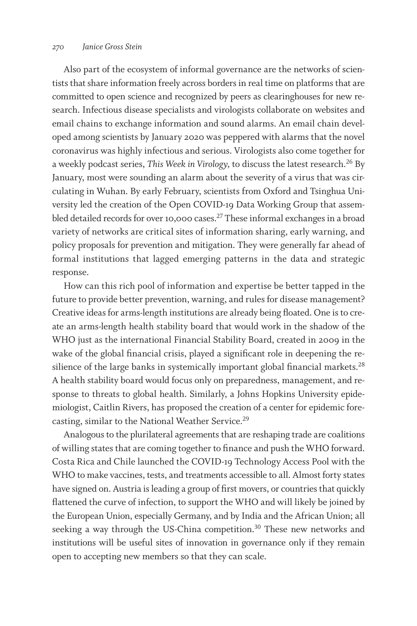Also part of the ecosystem of informal governance are the networks of scientists that share information freely across borders in real time on platforms that are committed to open science and recognized by peers as clearinghouses for new research. Infectious disease specialists and virologists collaborate on websites and email chains to exchange information and sound alarms. An email chain developed among scientists by January 2020 was peppered with alarms that the novel coronavirus was highly infectious and serious. Virologists also come together for a weekly podcast series, *This Week in Virology*, to discuss the latest research.26 By January, most were sounding an alarm about the severity of a virus that was circulating in Wuhan. By early February, scientists from Oxford and Tsinghua University led the creation of the Open COVID-19 Data Working Group that assembled detailed records for over 10,000 cases.<sup>27</sup> These informal exchanges in a broad variety of networks are critical sites of information sharing, early warning, and policy proposals for prevention and mitigation. They were generally far ahead of formal institutions that lagged emerging patterns in the data and strategic response.

How can this rich pool of information and expertise be better tapped in the future to provide better prevention, warning, and rules for disease management? Creative ideas for arms-length institutions are already being floated. One is to create an arms-length health stability board that would work in the shadow of the WHO just as the international Financial Stability Board, created in 2009 in the wake of the global financial crisis, played a significant role in deepening the resilience of the large banks in systemically important global financial markets.<sup>28</sup> A health stability board would focus only on preparedness, management, and response to threats to global health. Similarly, a Johns Hopkins University epidemiologist, Caitlin Rivers, has proposed the creation of a center for epidemic forecasting, similar to the National Weather Service.<sup>29</sup>

Analogous to the plurilateral agreements that are reshaping trade are coalitions of willing states that are coming together to finance and push the WHO forward. Costa Rica and Chile launched the COVID-19 Technology Access Pool with the WHO to make vaccines, tests, and treatments accessible to all. Almost forty states have signed on. Austria is leading a group of first movers, or countries that quickly flattened the curve of infection, to support the WHO and will likely be joined by the European Union, especially Germany, and by India and the African Union; all seeking a way through the US-China competition.<sup>30</sup> These new networks and institutions will be useful sites of innovation in governance only if they remain open to accepting new members so that they can scale.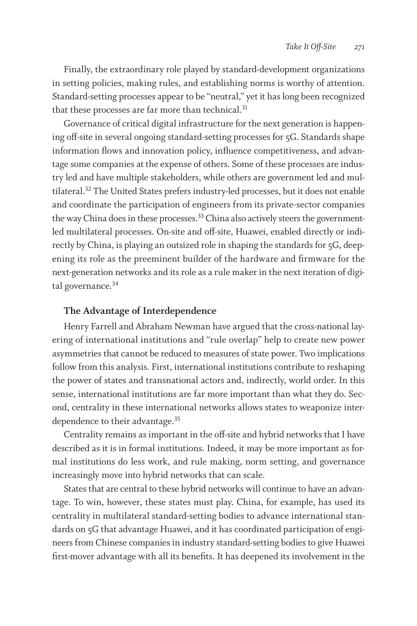Finally, the extraordinary role played by standard-development organizations in setting policies, making rules, and establishing norms is worthy of attention. Standard-setting processes appear to be "neutral," yet it has long been recognized that these processes are far more than technical.<sup>31</sup>

Governance of critical digital infrastructure for the next generation is happening off-site in several ongoing standard-setting processes for 5G. Standards shape information flows and innovation policy, influence competitiveness, and advantage some companies at the expense of others. Some of these processes are industry led and have multiple stakeholders, while others are government led and multilateral.<sup>32</sup> The United States prefers industry-led processes, but it does not enable and coordinate the participation of engineers from its private-sector companies the way China does in these processes.<sup>33</sup> China also actively steers the governmentled multilateral processes. On-site and off-site, Huawei, enabled directly or indirectly by China, is playing an outsized role in shaping the standards for 5G, deepening its role as the preeminent builder of the hardware and firmware for the next-generation networks and its role as a rule maker in the next iteration of digital governance.<sup>34</sup>

## **The Advantage of Interdependence**

Henry Farrell and Abraham Newman have argued that the cross-national layering of international institutions and "rule overlap" help to create new power asymmetries that cannot be reduced to measures of state power. Two implications follow from this analysis. First, international institutions contribute to reshaping the power of states and transnational actors and, indirectly, world order. In this sense, international institutions are far more important than what they do. Second, centrality in these international networks allows states to weaponize interdependence to their advantage.<sup>35</sup>

Centrality remains as important in the off-site and hybrid networks that I have described as it is in formal institutions. Indeed, it may be more important as formal institutions do less work, and rule making, norm setting, and governance increasingly move into hybrid networks that can scale.

States that are central to these hybrid networks will continue to have an advantage. To win, however, these states must play. China, for example, has used its centrality in multilateral standard-setting bodies to advance international standards on 5G that advantage Huawei, and it has coordinated participation of engineers from Chinese companies in industry standard-setting bodies to give Huawei first-mover advantage with all its benefits. It has deepened its involvement in the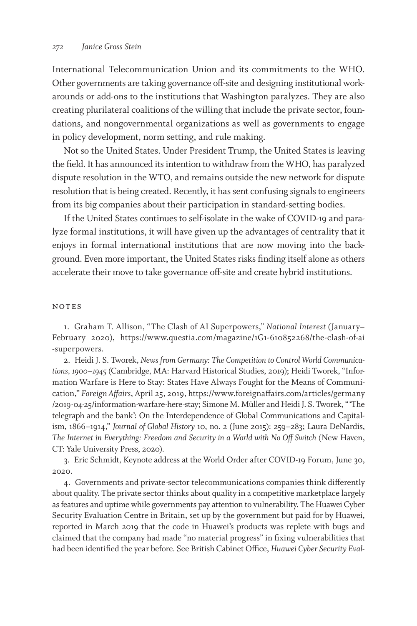International Telecommunication Union and its commitments to the WHO. Other governments are taking governance off-site and designing institutional workarounds or add-ons to the institutions that Washington paralyzes. They are also creating plurilateral coalitions of the willing that include the private sector, foundations, and nongovernmental organizations as well as governments to engage in policy development, norm setting, and rule making.

Not so the United States. Under President Trump, the United States is leaving the field. It has announced its intention to withdraw from the WHO, has paralyzed dispute resolution in the WTO, and remains outside the new network for dispute resolution that is being created. Recently, it has sent confusing signals to engineers from its big companies about their participation in standard-setting bodies.

If the United States continues to self-isolate in the wake of COVID-19 and paralyze formal institutions, it will have given up the advantages of centrality that it enjoys in formal international institutions that are now moving into the background. Even more important, the United States risks finding itself alone as others accelerate their move to take governance off-site and create hybrid institutions.

#### notes

1. Graham T. Allison, "The Clash of AI Superpowers," *National Interest* (January– February 2020), [https://www.questia.com/magazine/1G1-610852268/the-clash-of-ai](https://www.questia.com/magazine/1G1-610852268/the-clash-of-ai-superpowers) [-superpowers](https://www.questia.com/magazine/1G1-610852268/the-clash-of-ai-superpowers).

2. Heidi J. S. Tworek, *News from Germany: The Competition to Control World Communications, 1900–1945* (Cambridge, MA: Harvard Historical Studies, 2019); Heidi Tworek, "Information Warfare is Here to Stay: States Have Always Fought for the Means of Communication," *Foreign Affairs*, April 25, 2019, [https://www.foreignaffairs.com/articles/germany](https://www.foreignaffairs.com/articles/germany/2019-04-25/information-warfare-here-stay) [/2019-04-25/information-warfare-here-stay](https://www.foreignaffairs.com/articles/germany/2019-04-25/information-warfare-here-stay); Simone M. Müller and Heidi J. S. Tworek, "'The telegraph and the bank': On the Interdependence of Global Communications and Capitalism, 1866–1914," *Journal of Global History* 10, no. 2 (June 2015): 259–283; Laura DeNardis, *The Internet in Everything: Freedom and Security in a World with No Off Switch* (New Haven, CT: Yale University Press, 2020).

3. Eric Schmidt, Keynote address at the World Order after COVID-19 Forum, June 30, 2020.

4. Governments and private-sector telecommunications companies think differently about quality. The private sector thinks about quality in a competitive marketplace largely as features and uptime while governments pay attention to vulnerability. The Huawei Cyber Security Evaluation Centre in Britain, set up by the government but paid for by Huawei, reported in March 2019 that the code in Huawei's products was replete with bugs and claimed that the company had made "no material progress" in fixing vulnerabilities that had been identified the year before. See British Cabinet Office, *Huawei Cyber Security Eval-*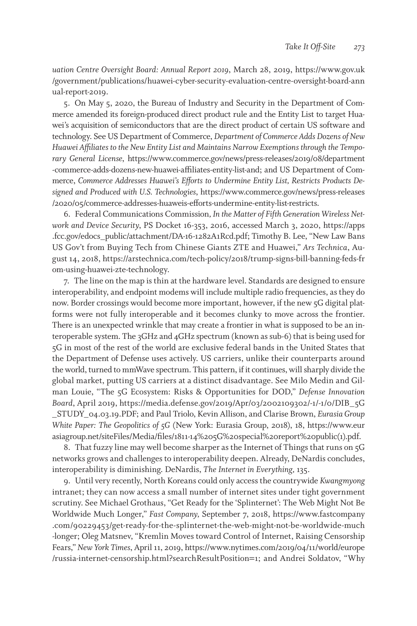*uation Centre Oversight Board: Annual Report 2019*, March 28, 2019, [https://www.gov.uk](https://www.gov.uk/government/publications/huawei-cyber-security-evaluation-centre-oversight-board-annual-report-2019) [/government/publications/huawei-cyber-security-evaluation-centre-oversight-board-ann](https://www.gov.uk/government/publications/huawei-cyber-security-evaluation-centre-oversight-board-annual-report-2019) [ual-report-2019.](https://www.gov.uk/government/publications/huawei-cyber-security-evaluation-centre-oversight-board-annual-report-2019)

5. On May 5, 2020, the Bureau of Industry and Security in the Department of Commerce amended its foreign-produced direct product rule and the Entity List to target Huawei's acquisition of semiconductors that are the direct product of certain US software and technology. See US Department of Commerce, *Department of Commerce Adds Dozens of New Huawei Affiliates to the New Entity List and Maintains Narrow Exemptions through the Temporary General License*, [https://www.commerce.gov/news/press-releases/2019/08/department](https://www.commerce.gov/news/press-releases/2019/08/department-commerce-adds-dozens-new-huawei-affiliates-entity-list-and) [-commerce-adds-dozens-new-huawei-affiliates-entity-list-and;](https://www.commerce.gov/news/press-releases/2019/08/department-commerce-adds-dozens-new-huawei-affiliates-entity-list-and) and US Department of Commerce, *Commerce Addresses Huawei's Efforts to Undermine Entity List, Restricts Products Designed and Produced with U.S. Technologies*, [https://www.commerce.gov/news/press-releases](https://www.commerce.gov/news/press-releases/2020/05/commerce-addresses-huaweis-efforts-undermine-entity-list-restricts) [/2020/05/commerce-addresses-huaweis-efforts-undermine-entity-list-restricts](https://www.commerce.gov/news/press-releases/2020/05/commerce-addresses-huaweis-efforts-undermine-entity-list-restricts).

6. Federal Communications Commission*, In the Matter of Fifth Generation Wireless Network and Device Security*, PS Docket 16-353, 2016, accessed March 3, 2020, [https://apps](https://apps.fcc.gov/edocs_public/attachment/DA-16-1282A1Rcd.pdf) [.fcc.gov/edocs\\_public/attachment/DA-16-1282A1Rcd.pdf](https://apps.fcc.gov/edocs_public/attachment/DA-16-1282A1Rcd.pdf); Timothy B. Lee, "New Law Bans US Gov't from Buying Tech from Chinese Giants ZTE and Huawei," *Ars Technica*, August 14, 2018, [https://arstechnica.com/tech-policy/2018/trump-signs-bill-banning-feds-fr](https://arstechnica.com/tech-policy/2018/trump-signs-bill-banning-feds-from-using-huawei-zte-technology) [om-using-huawei-zte-technology](https://arstechnica.com/tech-policy/2018/trump-signs-bill-banning-feds-from-using-huawei-zte-technology).

7. The line on the map is thin at the hardware level. Standards are designed to ensure interoperability, and endpoint modems will include multiple radio frequencies, as they do now. Border crossings would become more important, however, if the new 5G digital platforms were not fully interoperable and it becomes clunky to move across the frontier. There is an unexpected wrinkle that may create a frontier in what is supposed to be an interoperable system. The 3GHz and 4GHz spectrum (known as sub-6) that is being used for 5G in most of the rest of the world are exclusive federal bands in the United States that the Department of Defense uses actively. US carriers, unlike their counterparts around the world, turned to mmWave spectrum. This pattern, if it continues, will sharply divide the global market, putting US carriers at a distinct disadvantage. See Milo Medin and Gilman Louie, "The 5G Ecosystem: Risks & Opportunities for DOD," *Defense Innovation Board*, April 2019, [https://media.defense.gov/2019/Apr/03/2002109302/-1/-1/0/DIB\\_5G](https://media.defense.gov/2019/Apr/03/2002109302/-1/-1/0/DIB_5G_STUDY_04.03.19.PDF)

[\\_STUDY\\_04.03.19.PDF](https://media.defense.gov/2019/Apr/03/2002109302/-1/-1/0/DIB_5G_STUDY_04.03.19.PDF); and Paul Triolo, Kevin Allison, and Clarise Brown, *Eurasia Group White Paper: The Geopolitics of 5G* (New York: Eurasia Group, 2018), 18, [https://www.eur](https://www.eurasiagroup.net/siteFiles/Media/files/1811-14%205G%20special%20report%20public(1).pdf) [asiagroup.net/siteFiles/Media/files/1811-14%205G%20special%20report%20public\(1\).pdf.](https://www.eurasiagroup.net/siteFiles/Media/files/1811-14%205G%20special%20report%20public(1).pdf)

8. That fuzzy line may well become sharper as the Internet of Things that runs on 5G networks grows and challenges to interoperability deepen. Already, DeNardis concludes, interoperability is diminishing. DeNardis, *The Internet in Everything,* 135.

9. Until very recently, North Koreans could only access the countrywide *Kwangmyong* intranet; they can now access a small number of internet sites under tight government scrutiny. See Michael Grothaus, "Get Ready for the 'Splinternet': The Web Might Not Be Worldwide Much Longer," *Fast Company,* September 7, 2018, [https://www.fastcompany](https://www.fastcompany.com/90229453/get-ready-for-the-splinternet-the-web-might-not-be-worldwide-much-longer) [.com/90229453/get-ready-for-the-splinternet-the-web-might-not-be-worldwide-much](https://www.fastcompany.com/90229453/get-ready-for-the-splinternet-the-web-might-not-be-worldwide-much-longer) [-longer;](https://www.fastcompany.com/90229453/get-ready-for-the-splinternet-the-web-might-not-be-worldwide-much-longer) Oleg Matsnev, "Kremlin Moves toward Control of Internet, Raising Censorship Fears," *New York Times*, April11, 2019, [https://www.nytimes.com/2019/04/11/world/europe](https://www.nytimes.com/2019/04/11/world/europe/russia-internet-censorship.html?searchResultPosition=1) [/russia-internet-censorship.html?searchResultPosition](https://www.nytimes.com/2019/04/11/world/europe/russia-internet-censorship.html?searchResultPosition=1)=1; and Andrei Soldatov, "Why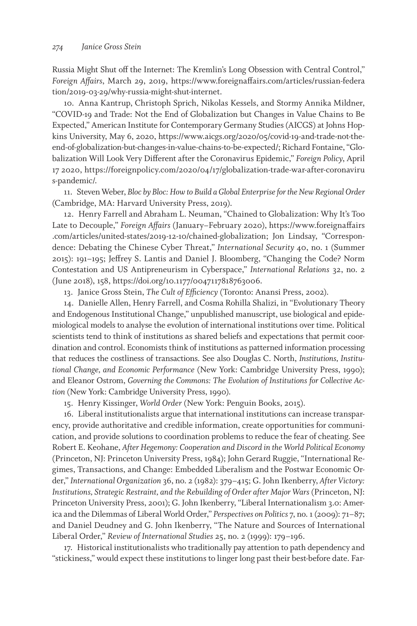Russia Might Shut off the Internet: The Kremlin's Long Obsession with Central Control," *Foreign Affairs*, March 29, 2019, [https://www.foreignaffairs.com/articles/russian-federa](https://www.foreignaffairs.com/articles/russian-federation/2019-03-29/why-russia-might-shut-internet) [tion/2019-03-29/why-russia-might-shut-internet.](https://www.foreignaffairs.com/articles/russian-federation/2019-03-29/why-russia-might-shut-internet)

10. Anna Kantrup, Christoph Sprich, Nikolas Kessels, and Stormy Annika Mildner, "COVID-19 and Trade: Not the End of Globalization but Changes in Value Chains to Be Expected," American Institute for Contemporary Germany Studies (AICGS) at Johns Hopkins University, May 6, 2020, [https://www.aicgs.org/2020/05/covid-19-and-trade-not-the](https://www.aicgs.org/2020/05/covid-19-and-trade-not-the-end-of-globalization-but-changes-in-value-chains-to-be-expected/)[end-of-globalization-but-changes-in-value-chains-to-be-expected/](https://www.aicgs.org/2020/05/covid-19-and-trade-not-the-end-of-globalization-but-changes-in-value-chains-to-be-expected/); Richard Fontaine, "Globalization Will Look Very Different after the Coronavirus Epidemic," *Foreign Policy*, April 17 2020, [https://foreignpolicy.com/2020/04/17/globalization-trade-war-after-coronaviru](https://foreignpolicy.com/2020/04/17/globalization-trade-war-after-coronavirus-pandemic/) [s-pandemic/](https://foreignpolicy.com/2020/04/17/globalization-trade-war-after-coronavirus-pandemic/).

11. Steven Weber, *Bloc by Bloc: How to Build a Global Enterprise for the New Regional Order* (Cambridge, MA: Harvard University Press, 2019).

12. Henry Farrell and Abraham L. Neuman, "Chained to Globalization: Why It's Too Late to Decouple," *Foreign Affairs* (January–February 2020), [https://www.foreignaffairs](https://www.foreignaffairs.com/articles/united-states/2019-12-10/chained-globalization) [.com/articles/united-states/2019-12-10/chained-globalization;](https://www.foreignaffairs.com/articles/united-states/2019-12-10/chained-globalization) Jon Lindsay, *"*Correspondence: Debating the Chinese Cyber Threat," *International Security* 40, no. 1 (Summer 2015): 191–195; Jeffrey S. Lantis and Daniel J. Bloomberg, "Changing the Code? Norm Contestation and US Antipreneurism in Cyberspace," *International Relations* 32, no. 2 (June 2018), 158, <https://doi.org/10.1177/0047117818763006>.

13. Janice Gross Stein, *The Cult of Efficiency* (Toronto: Anansi Press, 2002).

14. Danielle Allen, Henry Farrell, and Cosma Rohilla Shalizi, in "Evolutionary Theory and Endogenous Institutional Change," unpublished manuscript, use biological and epidemiological models to analyse the evolution of international institutions over time. Political scientists tend to think of institutions as shared beliefs and expectations that permit coordination and control. Economists think of institutions as patterned information processing that reduces the costliness of transactions. See also Douglas C. North, *Institutions, Institutional Change, and Economic Performance* (New York: Cambridge University Press, 1990); and Eleanor Ostrom, *Governing the Commons: The Evolution of Institutions for Collective Action* (New York: Cambridge University Press, 1990).

15. Henry Kissinger, *World Order* (New York: Penguin Books, 2015).

16. Liberal institutionalists argue that international institutions can increase transparency, provide authoritative and credible information, create opportunities for communication, and provide solutions to coordination problems to reduce the fear of cheating. See Robert E. Keohane, *After Hegemony: Cooperation and Discord in the World Political Economy* (Princeton, NJ: Princeton University Press, 1984); John Gerard Ruggie, "International Regimes, Transactions, and Change: Embedded Liberalism and the Postwar Economic Order," *International Organization* 36, no. 2 (1982): 379–415; G. John Ikenberry, *After Victory: Institutions, Strategic Restraint, and the Rebuilding of Order after Major Wars* (Princeton, NJ: Princeton University Press, 2001); G. John Ikenberry, "Liberal Internationalism 3.0: America and the Dilemmas of Liberal World Order," *Perspectives on Politics* 7, no. 1 (2009): 71–87; and Daniel Deudney and G. John Ikenberry, "The Nature and Sources of International Liberal Order," *Review of International Studies* 25, no. 2 (1999): 179–196.

17. Historical institutionalists who traditionally pay attention to path dependency and "stickiness," would expect these institutions to linger long past their best-before date. Far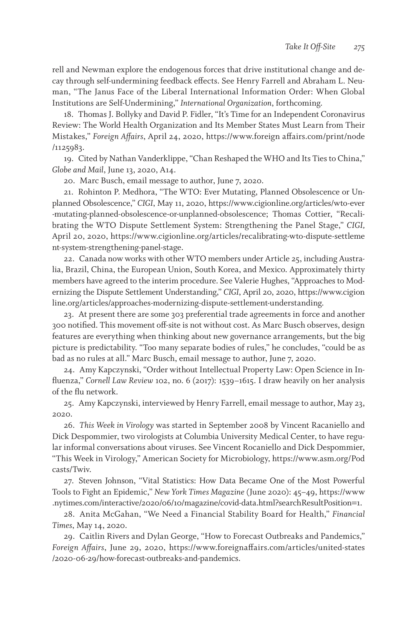rell and Newman explore the endogenous forces that drive institutional change and decay through self-undermining feedback effects. See Henry Farrell and Abraham L. Neuman, "The Janus Face of the Liberal International Information Order: When Global Institutions are Self-Undermining," *International Organization*, forthcoming.

18. Thomas J. Bollyky and David P. Fidler, "It's Time for an Independent Coronavirus Review: The World Health Organization and Its Member States Must Learn from Their Mistakes," *Foreign Affairs*, April 24, 2020,<https://www.foreign> affairs.com/print/node /1125983.

19. Cited by Nathan Vanderklippe, "Chan Reshaped the WHO and Its Ties to China," *Globe and Mail*, June 13, 2020, A14.

20. Marc Busch, email message to author, June 7, 2020.

21. Rohinton P. Medhora, "The WTO: Ever Mutating, Planned Obsolescence or Unplanned Obsolescence," *CIGI*, May 11, 2020, [https://www.cigionline.org/articles/wto-ever](https://www.cigionline.org/articles/wto-ever-mutating-planned-obsolescence-or-unplanned-obsolescence) [-mutating-planned-obsolescence-or-unplanned-obsolescence](https://www.cigionline.org/articles/wto-ever-mutating-planned-obsolescence-or-unplanned-obsolescence); Thomas Cottier, "Recalibrating the WTO Dispute Settlement System: Strengthening the Panel Stage," *CIGI,* April 20, 2020, [https://www.cigionline.org/articles/recalibrating-wto-dispute-settleme](https://www.cigionline.org/articles/recalibrating-wto-dispute-settlement-system-strengthening-panel-stage) [nt-system-strengthening-panel-stage.](https://www.cigionline.org/articles/recalibrating-wto-dispute-settlement-system-strengthening-panel-stage)

22. Canada now works with other WTO members under Article 25, including Australia, Brazil, China, the European Union, South Korea, and Mexico. Approximately thirty members have agreed to the interim procedure. See Valerie Hughes, "Approaches to Modernizing the Dispute Settlement Understanding," *CIGI*, April 20, 2020, [https://www.cigion](https://www.cigionline.org/articles/approaches-modernizing-dispute-settlement-understanding) [line.org/articles/approaches-modernizing-dispute-settlement-understanding](https://www.cigionline.org/articles/approaches-modernizing-dispute-settlement-understanding).

23. At present there are some 303 preferential trade agreements in force and another 300 notified. This movement off-site is not without cost. As Marc Busch observes, design features are everything when thinking about new governance arrangements, but the big picture is predictability. "Too many separate bodies of rules," he concludes, "could be as bad as no rules at all." Marc Busch, email message to author, June 7, 2020.

24. Amy Kapczynski, "Order without Intellectual Property Law: Open Science in Influenza," *Cornell Law Review* 102, no. 6 (2017): 1539–1615. I draw heavily on her analysis of the flu network.

25. Amy Kapczynski, interviewed by Henry Farrell, email message to author, May 23, 2020.

26. *This Week in Virology* was started in September 2008 by Vincent Racaniello and Dick Despommier, two virologists at Columbia University Medical Center, to have regular informal conversations about viruses. See Vincent Rocaniello and Dick Despommier, "This Week in Virology," American Society for Microbiology*,* [https://www.asm.org/Pod](https://www.asm.org/Podcasts/Twiv) [casts/Twiv](https://www.asm.org/Podcasts/Twiv).

27. Steven Johnson, "Vital Statistics: How Data Became One of the Most Powerful Tools to Fight an Epidemic," *New York Times Magazine* (June 2020): 45–49, [https://www](https://www.nytimes.com/interactive/2020/06/10/magazine/covid-data.html?searchResultPosition=1) [.nytimes.com/interactive/2020/06/10/magazine/covid-data.html?searchResultPosition](https://www.nytimes.com/interactive/2020/06/10/magazine/covid-data.html?searchResultPosition=1)=1.

28. Anita McGahan, "We Need a Financial Stability Board for Health," *Financial Times*, May 14, 2020.

29. Caitlin Rivers and Dylan George, "How to Forecast Outbreaks and Pandemics," *Foreign Affairs*, June 29, 2020, [https://www.foreignaffairs.com/articles/united-states](https://www.foreignaffairs.com/articles/united-states/2020-06-29/how-forecast-outbreaks-and-pandemics) [/2020-06-29/how-forecast-outbreaks-and-pandemics.](https://www.foreignaffairs.com/articles/united-states/2020-06-29/how-forecast-outbreaks-and-pandemics)